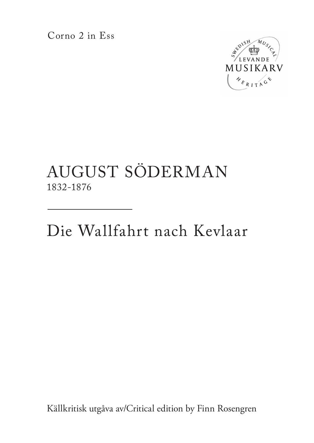Corno 2 in Ess



## AUGUST SÖDERMAN 1832-1876

Die Wallfahrt nach Kevlaar

Källkritisk utgåva av/Critical edition by Finn Rosengren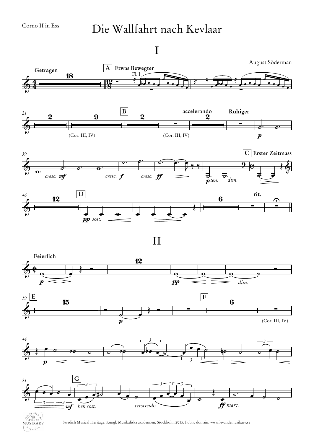$A_{R_{I}T}$ 

## Die Wallfahrt nach Kevlaar

I